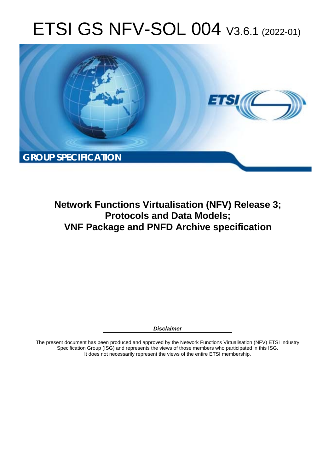# ETSI GS NFV-SOL 004 V3.6.1 (2022-01)



**Network Functions Virtualisation (NFV) Release 3; Protocols and Data Models; VNF Package and PNFD Archive specification** 

*Disclaimer* 

The present document has been produced and approved by the Network Functions Virtualisation (NFV) ETSI Industry Specification Group (ISG) and represents the views of those members who participated in this ISG. It does not necessarily represent the views of the entire ETSI membership.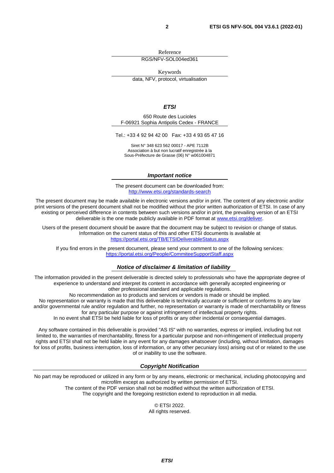Reference

RGS/NFV-SOL004ed361

Keywords data, NFV, protocol, virtualisation

*ETSI* 

650 Route des Lucioles F-06921 Sophia Antipolis Cedex - FRANCE

Tel.: +33 4 92 94 42 00 Fax: +33 4 93 65 47 16

Siret N° 348 623 562 00017 - APE 7112B Association à but non lucratif enregistrée à la Sous-Préfecture de Grasse (06) N° w061004871

#### *Important notice*

The present document can be downloaded from: <http://www.etsi.org/standards-search>

The present document may be made available in electronic versions and/or in print. The content of any electronic and/or print versions of the present document shall not be modified without the prior written authorization of ETSI. In case of any existing or perceived difference in contents between such versions and/or in print, the prevailing version of an ETSI deliverable is the one made publicly available in PDF format at [www.etsi.org/deliver](http://www.etsi.org/deliver).

Users of the present document should be aware that the document may be subject to revision or change of status. Information on the current status of this and other ETSI documents is available at <https://portal.etsi.org/TB/ETSIDeliverableStatus.aspx>

If you find errors in the present document, please send your comment to one of the following services: <https://portal.etsi.org/People/CommiteeSupportStaff.aspx>

#### *Notice of disclaimer & limitation of liability*

The information provided in the present deliverable is directed solely to professionals who have the appropriate degree of experience to understand and interpret its content in accordance with generally accepted engineering or other professional standard and applicable regulations.

No recommendation as to products and services or vendors is made or should be implied.

No representation or warranty is made that this deliverable is technically accurate or sufficient or conforms to any law and/or governmental rule and/or regulation and further, no representation or warranty is made of merchantability or fitness for any particular purpose or against infringement of intellectual property rights.

In no event shall ETSI be held liable for loss of profits or any other incidental or consequential damages.

Any software contained in this deliverable is provided "AS IS" with no warranties, express or implied, including but not limited to, the warranties of merchantability, fitness for a particular purpose and non-infringement of intellectual property rights and ETSI shall not be held liable in any event for any damages whatsoever (including, without limitation, damages for loss of profits, business interruption, loss of information, or any other pecuniary loss) arising out of or related to the use of or inability to use the software.

#### *Copyright Notification*

No part may be reproduced or utilized in any form or by any means, electronic or mechanical, including photocopying and microfilm except as authorized by written permission of ETSI. The content of the PDF version shall not be modified without the written authorization of ETSI.

The copyright and the foregoing restriction extend to reproduction in all media.

© ETSI 2022. All rights reserved.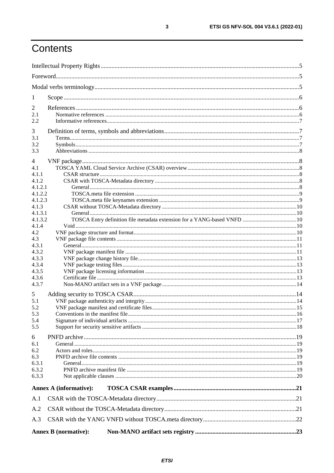# Contents

| $\mathbf{I}$       |                               |  |
|--------------------|-------------------------------|--|
| 2                  |                               |  |
| 2.1                |                               |  |
| 2.2                |                               |  |
| 3                  |                               |  |
| 3.1                |                               |  |
| 3.2                |                               |  |
| 3.3                |                               |  |
| 4                  |                               |  |
| 4.1                |                               |  |
| 4.1.1              |                               |  |
| 4.1.2              |                               |  |
| 4.1.2.1            |                               |  |
| 4.1.2.2<br>4.1.2.3 |                               |  |
| 4.1.3              |                               |  |
| 4.1.3.1            |                               |  |
| 4.1.3.2            |                               |  |
| 4.1.4              |                               |  |
| 4.2                |                               |  |
| 4.3                |                               |  |
| 4.3.1              |                               |  |
| 4.3.2              |                               |  |
| 4.3.3              |                               |  |
| 4.3.4              |                               |  |
| 4.3.5              |                               |  |
| 4.3.6<br>4.3.7     |                               |  |
|                    |                               |  |
| 5                  |                               |  |
| 5.1                |                               |  |
| 5.2<br>5.3         |                               |  |
| 5.4                |                               |  |
| 5.5                |                               |  |
|                    |                               |  |
| 6                  |                               |  |
| 6.1                |                               |  |
| 6.2<br>6.3         |                               |  |
| 6.3.1              |                               |  |
| 6.3.2              |                               |  |
| 6.3.3              |                               |  |
|                    |                               |  |
|                    | <b>Annex A (informative):</b> |  |
| A.1                |                               |  |
| A.2                |                               |  |
| A.3                |                               |  |
|                    | <b>Annex B</b> (normative):   |  |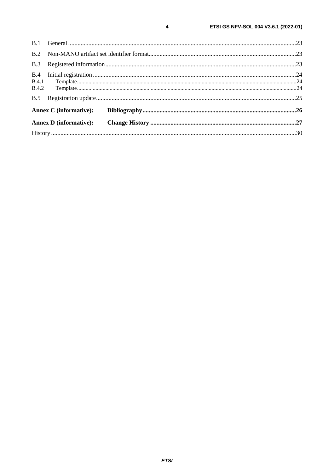| B.3 |                               |  |
|-----|-------------------------------|--|
| B.4 |                               |  |
|     |                               |  |
| B.5 |                               |  |
|     | <b>Annex C</b> (informative): |  |
|     | <b>Annex D</b> (informative): |  |
|     |                               |  |
|     |                               |  |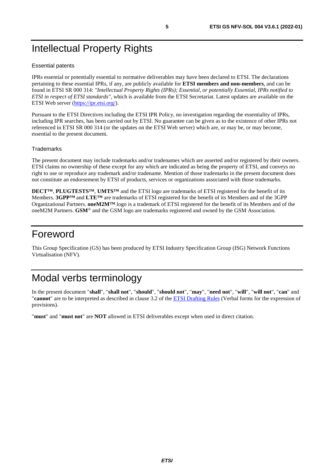# <span id="page-4-0"></span>Intellectual Property Rights

#### Essential patents

IPRs essential or potentially essential to normative deliverables may have been declared to ETSI. The declarations pertaining to these essential IPRs, if any, are publicly available for **ETSI members and non-members**, and can be found in ETSI SR 000 314: *"Intellectual Property Rights (IPRs); Essential, or potentially Essential, IPRs notified to ETSI in respect of ETSI standards"*, which is available from the ETSI Secretariat. Latest updates are available on the ETSI Web server ([https://ipr.etsi.org/\)](https://ipr.etsi.org/).

Pursuant to the ETSI Directives including the ETSI IPR Policy, no investigation regarding the essentiality of IPRs, including IPR searches, has been carried out by ETSI. No guarantee can be given as to the existence of other IPRs not referenced in ETSI SR 000 314 (or the updates on the ETSI Web server) which are, or may be, or may become, essential to the present document.

#### **Trademarks**

The present document may include trademarks and/or tradenames which are asserted and/or registered by their owners. ETSI claims no ownership of these except for any which are indicated as being the property of ETSI, and conveys no right to use or reproduce any trademark and/or tradename. Mention of those trademarks in the present document does not constitute an endorsement by ETSI of products, services or organizations associated with those trademarks.

**DECT™**, **PLUGTESTS™**, **UMTS™** and the ETSI logo are trademarks of ETSI registered for the benefit of its Members. **3GPP™** and **LTE™** are trademarks of ETSI registered for the benefit of its Members and of the 3GPP Organizational Partners. **oneM2M™** logo is a trademark of ETSI registered for the benefit of its Members and of the oneM2M Partners. **GSM**® and the GSM logo are trademarks registered and owned by the GSM Association.

### Foreword

This Group Specification (GS) has been produced by ETSI Industry Specification Group (ISG) Network Functions Virtualisation (NFV).

# Modal verbs terminology

In the present document "**shall**", "**shall not**", "**should**", "**should not**", "**may**", "**need not**", "**will**", "**will not**", "**can**" and "**cannot**" are to be interpreted as described in clause 3.2 of the [ETSI Drafting Rules](https://portal.etsi.org/Services/editHelp!/Howtostart/ETSIDraftingRules.aspx) (Verbal forms for the expression of provisions).

"**must**" and "**must not**" are **NOT** allowed in ETSI deliverables except when used in direct citation.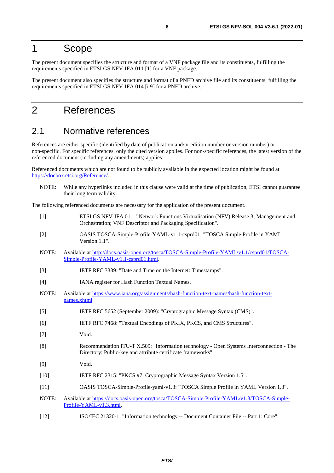### <span id="page-5-0"></span>1 Scope

The present document specifies the structure and format of a VNF package file and its constituents, fulfilling the requirements specified in ETSI GS NFV-IFA 011 [1] for a VNF package.

The present document also specifies the structure and format of a PNFD archive file and its constituents, fulfilling the requirements specified in ETSI GS NFV-IFA 014 [[i.9](#page-6-0)] for a PNFD archive.

### 2 References

### 2.1 Normative references

References are either specific (identified by date of publication and/or edition number or version number) or non-specific. For specific references, only the cited version applies. For non-specific references, the latest version of the referenced document (including any amendments) applies.

Referenced documents which are not found to be publicly available in the expected location might be found at <https://docbox.etsi.org/Reference/>.

NOTE: While any hyperlinks included in this clause were valid at the time of publication, ETSI cannot guarantee their long term validity.

The following referenced documents are necessary for the application of the present document.

- [1] ETSI GS NFV-IFA 011: "Network Functions Virtualisation (NFV) Release 3; Management and Orchestration; VNF Descriptor and Packaging Specification".
- [2] OASIS TOSCA-Simple-Profile-YAML-v1.1-csprd01: "TOSCA Simple Profile in YAML Version 1.1".
- NOTE: Available at [http://docs.oasis-open.org/tosca/TOSCA-Simple-Profile-YAML/v1.1/csprd01/TOSCA-](http://docs.oasis-open.org/tosca/TOSCA-Simple-Profile-YAML/v1.1/csprd01/TOSCA-Simple-Profile-YAML-v1.1-csprd01.html)[Simple-Profile-YAML-v1.1-csprd01.html.](http://docs.oasis-open.org/tosca/TOSCA-Simple-Profile-YAML/v1.1/csprd01/TOSCA-Simple-Profile-YAML-v1.1-csprd01.html)
- [3] IETF RFC 3339: "Date and Time on the Internet: Timestamps".
- [4] IANA register for Hash Function Textual Names.
- NOTE: Available at [https://www.iana.org/assignments/hash-function-text-names/hash-function-text](https://www.iana.org/assignments/hash-function-text-names/hash-function-text-names.xhtml)[names.xhtml.](https://www.iana.org/assignments/hash-function-text-names/hash-function-text-names.xhtml)
- [5] IETF RFC 5652 (September 2009): "Cryptographic Message Syntax (CMS)".
- [6] IETF RFC 7468: "Textual Encodings of PKIX, PKCS, and CMS Structures".
- [7] Void.
- [8] Recommendation ITU-T X.509: "Information technology Open Systems Interconnection The Directory: Public-key and attribute certificate frameworks".
- [9] Void.
- [10] IETF RFC 2315: "PKCS #7: Cryptographic Message Syntax Version 1.5".
- [11] OASIS TOSCA-Simple-Profile-yaml-v1.3: "TOSCA Simple Profile in YAML Version 1.3".
- NOTE: Available at [https://docs.oasis-open.org/tosca/TOSCA-Simple-Profile-YAML/v1.3/TOSCA-Simple](https://docs.oasis-open.org/tosca/TOSCA-Simple-Profile-YAML/v1.3/TOSCA-Simple-Profile-YAML-v1.3.html)-[Profile-YAML-v1.3.html.](https://docs.oasis-open.org/tosca/TOSCA-Simple-Profile-YAML/v1.3/TOSCA-Simple-Profile-YAML-v1.3.html)
- [12] ISO/IEC 21320-1: "Information technology -- Document Container File -- Part 1: Core".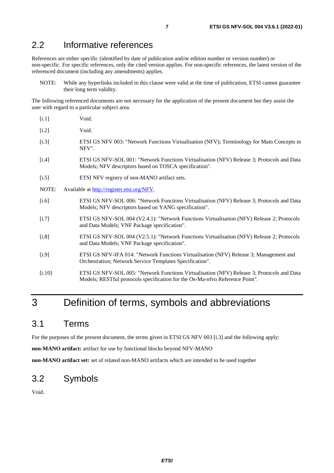### <span id="page-6-0"></span>2.2 Informative references

References are either specific (identified by date of publication and/or edition number or version number) or non-specific. For specific references, only the cited version applies. For non-specific references, the latest version of the referenced document (including any amendments) applies.

NOTE: While any hyperlinks included in this clause were valid at the time of publication, ETSI cannot guarantee their long term validity.

The following referenced documents are not necessary for the application of the present document but they assist the user with regard to a particular subject area.

| [i.1]    | Void.                                                                                                                                                                      |
|----------|----------------------------------------------------------------------------------------------------------------------------------------------------------------------------|
| [i.2]    | Void.                                                                                                                                                                      |
| $[1.3]$  | ETSI GS NFV 003: "Network Functions Virtualisation (NFV); Terminology for Main Concepts in<br>NFV".                                                                        |
| $[1.4]$  | ETSI GS NFV-SOL 001: "Network Functions Virtualisation (NFV) Release 3; Protocols and Data<br>Models; NFV descriptors based on TOSCA specification".                       |
| $[1.5]$  | ETSI NFV registry of non-MANO artifact sets.                                                                                                                               |
| NOTE:    | Available at http://register.etsi.org/NFV.                                                                                                                                 |
| $[i.6]$  | ETSI GS NFV-SOL 006: "Network Functions Virtualisation (NFV) Release 3; Protocols and Data<br>Models; NFV descriptors based on YANG specification".                        |
| $[1.7]$  | ETSI GS NFV-SOL 004 (V2.4.1): "Network Functions Virtualisation (NFV) Release 2; Protocols<br>and Data Models; VNF Package specification".                                 |
| $[1.8]$  | ETSI GS NFV-SOL 004 (V2.5.1): "Network Functions Virtualisation (NFV) Release 2; Protocols<br>and Data Models; VNF Package specification".                                 |
| [i.9]    | ETSI GS NFV-IFA 014: "Network Functions Virtualisation (NFV) Release 3; Management and<br>Orchestration; Network Service Templates Specification".                         |
| $[1.10]$ | ETSI GS NFV-SOL 005: "Network Functions Virtualisation (NFV) Release 3; Protocols and Data<br>Models; RESTful protocols specification for the Os-Ma-nfvo Reference Point". |
|          |                                                                                                                                                                            |

# 3 Definition of terms, symbols and abbreviations

### 3.1 Terms

For the purposes of the present document, the terms given in ETSI GS NFV 003 [i.3] and the following apply:

**non-MANO artifact:** artifact for use by functional blocks beyond NFV-MANO

**non-MANO artifact set:** set of related non-MANO artifacts which are intended to be used together

### 3.2 Symbols

Void.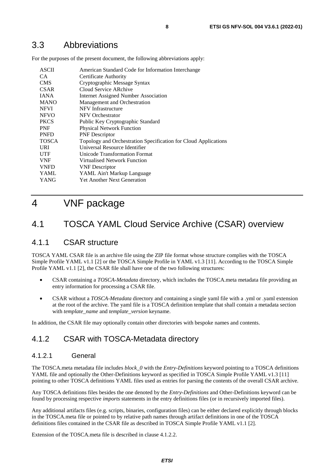<span id="page-7-0"></span>For the purposes of the present document, the following abbreviations apply:

| <b>ASCII</b><br>CA.<br><b>CMS</b> | American Standard Code for Information Interchange<br>Certificate Authority<br>Cryptographic Message Syntax |
|-----------------------------------|-------------------------------------------------------------------------------------------------------------|
| <b>CSAR</b>                       | Cloud Service ARchive                                                                                       |
| <b>JANA</b>                       | Internet Assigned Number Association                                                                        |
| <b>MANO</b>                       | Management and Orchestration                                                                                |
| <b>NFVI</b>                       | NFV Infrastructure                                                                                          |
| <b>NFVO</b>                       | NFV Orchestrator                                                                                            |
| <b>PKCS</b>                       | Public Key Cryptographic Standard                                                                           |
| <b>PNF</b>                        | <b>Physical Network Function</b>                                                                            |
| <b>PNFD</b>                       | <b>PNF</b> Descriptor                                                                                       |
| <b>TOSCA</b>                      | Topology and Orchestration Specification for Cloud Applications                                             |
| <b>URI</b>                        | Universal Resource Identifier                                                                               |
| <b>UTF</b>                        | Unicode Transformation Format                                                                               |
| <b>VNF</b>                        | Virtualised Network Function                                                                                |
| <b>VNFD</b>                       | <b>VNF</b> Descriptor                                                                                       |
| YAML                              | YAML Ain't Markup Language                                                                                  |
| YANG                              | <b>Yet Another Next Generation</b>                                                                          |

# 4 VNF package

### 4.1 TOSCA YAML Cloud Service Archive (CSAR) overview

### 4.1.1 CSAR structure

TOSCA YAML CSAR file is an archive file using the ZIP file format whose structure complies with the TOSCA Simple Profile YAML v1.1 [\[2](#page-5-0)] or the TOSCA Simple Profile in YAML v1.3 [\[11](#page-5-0)]. According to the TOSCA Simple Profile YAML v1.1 [\[2\]](#page-5-0), the CSAR file shall have one of the two following structures:

- CSAR containing a *TOSCA-Metadata* directory, which includes the TOSCA.meta metadata file providing an entry information for processing a CSAR file.
- CSAR without a *TOSCA-Metadata* directory and containing a single yaml file with a .yml or .yaml extension at the root of the archive. The yaml file is a TOSCA definition template that shall contain a metadata section with *template\_name* and *template\_version* keyname.

In addition, the CSAR file may optionally contain other directories with bespoke names and contents.

### 4.1.2 CSAR with TOSCA-Metadata directory

### 4.1.2.1 General

The TOSCA.meta metadata file includes *block\_0* with the *Entry-Definitions* keyword pointing to a TOSCA definitions YAML file and optionally the Other-Definitions keyword as specified in TOSCA Simple Profile YAML v1.3 [\[11](#page-5-0)] pointing to other TOSCA definitions YAML files used as entries for parsing the contents of the overall CSAR archive.

Any TOSCA definitions files besides the one denoted by the *Entry-Definitions* and Other-Definitions keyword can be found by processing respective *imports* statements in the entry definitions files (or in recursively imported files).

Any additional artifacts files (e.g. scripts, binaries, configuration files) can be either declared explicitly through blocks in the TOSCA.meta file or pointed to by relative path names through artifact definitions in one of the TOSCA definitions files contained in the CSAR file as described in TOSCA Simple Profile YAML v1.1 [\[2](#page-5-0)].

Extension of the TOSCA.meta file is described in clause 4.1.2.2.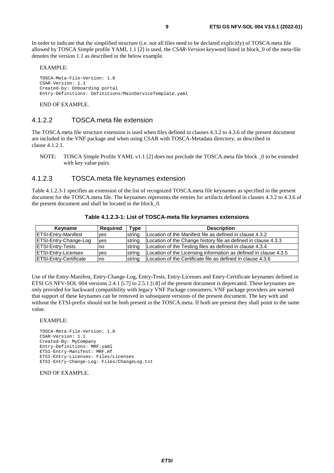<span id="page-8-0"></span>In order to indicate that the simplified structure (i.e. not all files need to be declared explicitly) of TOSCA.meta file allowed by TOSCA Simple profile YAML 1.1 [[2\]](#page-5-0) is used, the *CSAR-Version* keyword listed in block\_0 of the meta-file denotes the version 1.1 as described in the below example.

EXAMPLE:

```
TOSCA-Meta-File-Version: 1.0 
CSAR-Version: 1.1 
Created-by: Onboarding portal 
Entry-Definitions: Definitions/MainServiceTemplate.yaml
```
END OF EXAMPLE.

#### 4.1.2.2 TOSCA.meta file extension

The TOSCA.meta file structure extension is used when files defined in clauses 4.3.2 to 4.3.6 of the present document are included in the VNF package and when using CSAR with TOSCA-Metadata directory, as described in clause 4.1.2.1.

NOTE: TOSCA Simple Profile YAML v1.1 [\[2\]](#page-5-0) does not preclude the TOSCA.meta file block \_0 to be extended with key value pairs.

#### 4.1.2.3 TOSCA.meta file keynames extension

Table 4.1.2.3-1 specifies an extension of the list of recognized TOSCA.meta file keynames as specified in the present document for the TOSCA.meta file. The keynames represents the entries for artifacts defined in clauses 4.3.2 to 4.3.6 of the present document and shall be located in the block\_0.

| Keyname                       | <b>Required</b> | Type   | <b>Description</b>                                               |
|-------------------------------|-----------------|--------|------------------------------------------------------------------|
| <b>ETSI-Entry-Manifest</b>    | <b>ves</b>      | strina | Location of the Manifest file as defined in clause 4.3.2         |
| <b>ETSI-Entry-Change-Log</b>  | yes             | string | Location of the Change history file as defined in clause 4.3.3   |
| <b>IETSI-Entry-Tests</b>      | Ino             | strina | Location of the Testing files as defined in clause 4.3.4         |
| <b>ETSI-Entry-Licenses</b>    | <b>ves</b>      | string | Location of the Licensing information as defined in clause 4.3.5 |
| <b>ETSI-Entry-Certificate</b> | <b>no</b>       | string | Location of the Certificate file as defined in clause 4.3.6      |

**Table 4.1.2.3-1: List of TOSCA-meta file keynames extensions** 

Use of the Entry-Manifest, Entry-Change-Log, Entry-Tests, Entry-Licenses and Entry-Certificate keynames defined in ETSI GS NFV-SOL 004 versions 2.4.1 [\[i.7\]](#page-6-0) to 2.5.1 [[i.8\]](#page-6-0) of the present document is deprecated. These keynames are only provided for backward compatibility with legacy VNF Package consumers; VNF package providers are warned that support of these keynames can be removed in subsequent versions of the present document. The key with and without the ETSI-prefix should not be both present in the TOSCA.meta. If both are present they shall point to the same value.

#### EXAMPLE:

```
TOSCA-Meta-File-Version: 1.0 
CSAR-Version: 1.1 
Created-By: MyCompany 
Entry-Definitions: MRF.yaml 
ETSI-Entry-Manifest: MRF.mf 
ETSI-Entry-Licenses: Files/Licenses 
ETSI-Entry-Change-Log: Files/ChangeLog.txt
```
END OF EXAMPLE.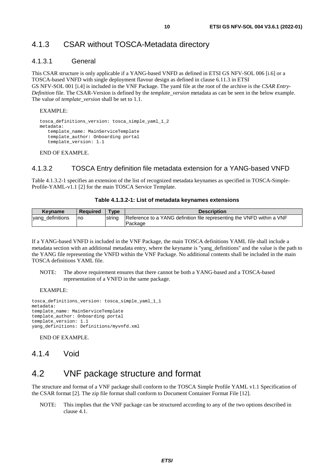### <span id="page-9-0"></span>4.1.3 CSAR without TOSCA-Metadata directory

#### 4.1.3.1 General

This CSAR structure is only applicable if a YANG-based VNFD as defined in ETSI GS NFV-SOL 006 [[i.6](#page-6-0)] or a TOSCA-based VNFD with single deployment flavour design as defined in clause 6.11.3 in ETSI GS NFV-SOL 001 [[i.4](#page-6-0)] is included in the VNF Package. The yaml file at the root of the archive is the *CSAR Entry-Definition* file. The CSAR-Version is defined by the *template\_version* metadata as can be seen in the below example. The value of *template\_version* shall be set to 1.1.

EXAMPLE:

```
tosca_definitions_version: tosca_simple_yaml_1_2 
metadata: 
    template_name: MainServiceTemplate 
    template_author: Onboarding portal 
    template_version: 1.1
```
END OF EXAMPLE.

#### 4.1.3.2 TOSCA Entry definition file metadata extension for a YANG-based VNFD

Table 4.1.3.2-1 specifies an extension of the list of recognized metadata keynames as specified in TOSCA-Simple-Profile-YAML-v1.1 [[2](#page-5-0)] for the main TOSCA Service Template.

#### **Table 4.1.3.2-1: List of metadata keynames extensions**

| <b>Kevname</b>   | <b>Required</b> | <b>Type</b> | <b>Description</b>                                                     |
|------------------|-----------------|-------------|------------------------------------------------------------------------|
| yang_definitions | Ino             | string      | Reference to a YANG definition file representing the VNFD within a VNF |
|                  |                 |             | Package                                                                |

If a YANG-based VNFD is included in the VNF Package, the main TOSCA definitions YAML file shall include a metadata section with an additional metadata entry, where the keyname is ''yang\_definitions'' and the value is the path to the YANG file representing the VNFD within the VNF Package. No additional contents shall be included in the main TOSCA definitions YAML file.

NOTE: The above requirement ensures that there cannot be both a YANG-based and a TOSCA-based representation of a VNFD in the same package.

EXAMPLE:

```
tosca_definitions_version: tosca_simple_yaml_1_1 
metadata: 
template_name: MainServiceTemplate
template_author: Onboarding portal 
template_version: 1.1 
yang_definitions: Definitions/myvnfd.xml
```
END OF EXAMPLE.

4.1.4 Void

### 4.2 VNF package structure and format

The structure and format of a VNF package shall conform to the TOSCA Simple Profile YAML v1.1 Specification of the CSAR format [\[2\]](#page-5-0). The zip file format shall conform to Document Container Format File [\[12\]](#page-5-0).

NOTE: This implies that the VNF package can be structured according to any of the two options described in clause 4.1.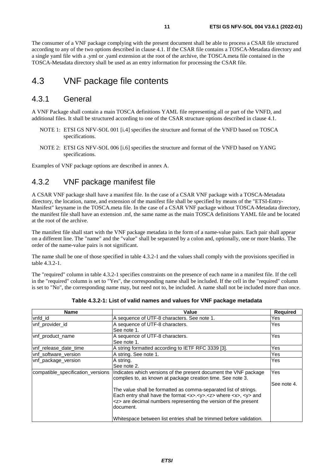<span id="page-10-0"></span>The consumer of a VNF package complying with the present document shall be able to process a CSAR file structured according to any of the two options described in clause 4.1. If the CSAR file contains a TOSCA-Metadata directory and a single yaml file with a .yml or .yaml extension at the root of the archive, the TOSCA.meta file contained in the TOSCA-Metadata directory shall be used as an entry information for processing the CSAR file.

### 4.3 VNF package file contents

### 4.3.1 General

A VNF Package shall contain a main TOSCA definitions YAML file representing all or part of the VNFD, and additional files. It shall be structured according to one of the CSAR structure options described in clause 4.1.

- NOTE 1: ETSI GS NFV-SOL 001 [[i.4](#page-6-0)] specifies the structure and format of the VNFD based on TOSCA specifications.
- NOTE 2: ETSI GS NFV-SOL 006 [[i.6](#page-6-0)] specifies the structure and format of the VNFD based on YANG specifications.

Examples of VNF package options are described in annex A.

### 4.3.2 VNF package manifest file

A CSAR VNF package shall have a manifest file. In the case of a CSAR VNF package with a TOSCA-Metadata directory, the location, name, and extension of the manifest file shall be specified by means of the "ETSI-Entry-Manifest" keyname in the TOSCA.meta file. In the case of a CSAR VNF package without TOSCA-Metadata directory, the manifest file shall have an extension .mf, the same name as the main TOSCA definitions YAML file and be located at the root of the archive.

The manifest file shall start with the VNF package metadata in the form of a name-value pairs. Each pair shall appear on a different line. The "name" and the "value" shall be separated by a colon and, optionally, one or more blanks. The order of the name-value pairs is not significant.

The name shall be one of those specified in table 4.3.2-1 and the values shall comply with the provisions specified in table 4.3.2-1.

The "required" column in table 4.3.2-1 specifies constraints on the presence of each name in a manifest file. If the cell in the "required" column is set to "Yes", the corresponding name shall be included. If the cell in the "required" column is set to "No", the corresponding name may, but need not to, be included. A name shall not be included more than once.

| <b>Name</b>                       | Value                                                                                                                                                                                                                                                                                             | <b>Required</b> |
|-----------------------------------|---------------------------------------------------------------------------------------------------------------------------------------------------------------------------------------------------------------------------------------------------------------------------------------------------|-----------------|
| vnfd id                           | A sequence of UTF-8 characters. See note 1.                                                                                                                                                                                                                                                       | Yes             |
| vnf_provider_id                   | A sequence of UTF-8 characters.                                                                                                                                                                                                                                                                   | Yes             |
|                                   | See note 1.                                                                                                                                                                                                                                                                                       |                 |
| vnf_product_name                  | A sequence of UTF-8 characters.                                                                                                                                                                                                                                                                   | Yes             |
|                                   | See note 1.                                                                                                                                                                                                                                                                                       |                 |
| vnf release date time             | A string formatted according to IETF RFC 3339 [3].                                                                                                                                                                                                                                                | Yes             |
| vnf software version              | A string. See note 1.                                                                                                                                                                                                                                                                             | Yes             |
| vnf_package_version               | A string.                                                                                                                                                                                                                                                                                         | Yes             |
|                                   | See note 2.                                                                                                                                                                                                                                                                                       |                 |
| compatible_specification_versions | Indicates which versions of the present document the VNF package<br>complies to, as known at package creation time. See note 3.                                                                                                                                                                   | Yes             |
|                                   |                                                                                                                                                                                                                                                                                                   | See note 4.     |
|                                   | The value shall be formatted as comma-separated list of strings.<br>Each entry shall have the format $\langle x \rangle \langle y \rangle \langle z \rangle$ where $\langle x \rangle \langle y \rangle$ and<br><z> are decimal numbers representing the version of the present<br/>document.</z> |                 |
|                                   | Whitespace between list entries shall be trimmed before validation.                                                                                                                                                                                                                               |                 |

**Table 4.3.2-1: List of valid names and values for VNF package metadata**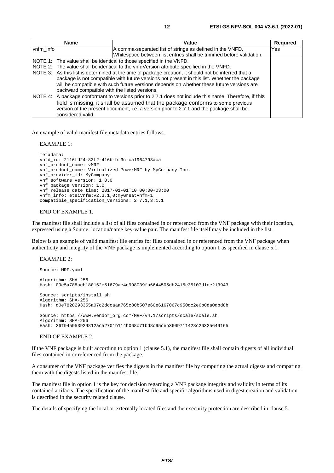|           | <b>Name</b>                                                                              | Value                                                                                                                                                                                                                                                                                             | <b>Required</b> |  |
|-----------|------------------------------------------------------------------------------------------|---------------------------------------------------------------------------------------------------------------------------------------------------------------------------------------------------------------------------------------------------------------------------------------------------|-----------------|--|
| vnfm info |                                                                                          | A comma-separated list of strings as defined in the VNFD.                                                                                                                                                                                                                                         | Yes             |  |
|           |                                                                                          | Whitespace between list entries shall be trimmed before validation.                                                                                                                                                                                                                               |                 |  |
|           |                                                                                          | NOTE 1: The value shall be identical to those specified in the VNFD.                                                                                                                                                                                                                              |                 |  |
|           | NOTE 2: The value shall be identical to the vnfdVersion attribute specified in the VNFD. |                                                                                                                                                                                                                                                                                                   |                 |  |
|           | backward compatible with the listed versions.                                            | NOTE 3: As this list is determined at the time of package creation, it should not be inferred that a<br>package is not compatible with future versions not present in this list. Whether the package<br>will be compatible with such future versions depends on whether these future versions are |                 |  |
|           | considered valid.                                                                        | NOTE 4: A package conformant to versions prior to 2.7.1 does not include this name. Therefore, if this<br>field is missing, it shall be assumed that the package conforms to some previous<br>version of the present document, i.e. a version prior to 2.7.1 and the package shall be             |                 |  |

An example of valid manifest file metadata entries follows.

EXAMPLE 1:

```
metadata: 
vnfd_id: 2116fd24-83f2-416b-bf3c-ca1964793aca 
vnf_product_name: vMRF 
vnf_product_name: Virtualized PowerMRF by MyCompany Inc. 
vnf_provider_id: MyCompany 
vnf_software_version: 1.0.0 
vnf_package_version: 1.0 
vnf_release_date_time: 2017-01-01T10:00:00+03:00 
vnfm_info: etsivnfm:v2.3.1,0:myGreatVnfm-1 
compatible_specification_versions: 2.7.1,3.1.1
```
#### END OF EXAMPLE 1.

The manifest file shall include a list of all files contained in or referenced from the VNF package with their location, expressed using a Source: location/name key-value pair. The manifest file itself may be included in the list.

Below is an example of valid manifest file entries for files contained in or referenced from the VNF package when authenticity and integrity of the VNF package is implemented according to option 1 as specified in clause 5.1.

#### EXAMPLE 2:

```
Source: MRF.yaml 
Algorithm: SHA-256 
Hash: 09e5a788acb180162c51679ae4c998039fa6644505db2415e35107d1ee213943 
Source: scripts/install.sh 
Algorithm: SHA-256 
Hash: d0e7828293355a07c2dccaaa765c80b507e60e6167067c950dc2e6b0da0dbd8b 
Source: https://www.vendor_org.com/MRF/v4.1/scripts/scale/scale.sh 
Algorithm: SHA-256 
Hash: 36f945953929812aca2701b114b068c71bd8c95ceb3609711428c26325649165
```
#### END OF EXAMPLE 2.

If the VNF package is built according to option 1 (clause 5.1), the manifest file shall contain digests of all individual files contained in or referenced from the package.

A consumer of the VNF package verifies the digests in the manifest file by computing the actual digests and comparing them with the digests listed in the manifest file.

The manifest file in option 1 is the key for decision regarding a VNF package integrity and validity in terms of its contained artifacts. The specification of the manifest file and specific algorithms used in digest creation and validation is described in the security related clause.

The details of specifying the local or externally located files and their security protection are described in clause 5.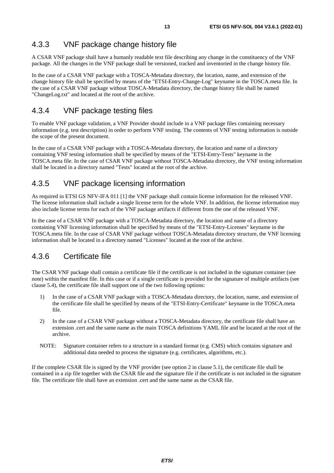### <span id="page-12-0"></span>4.3.3 VNF package change history file

A CSAR VNF package shall have a humanly readable text file describing any change in the constituency of the VNF package. All the changes in the VNF package shall be versioned, tracked and inventoried in the change history file.

In the case of a CSAR VNF package with a TOSCA-Metadata directory, the location, name, and extension of the change history file shall be specified by means of the "ETSI-Entry-Change-Log" keyname in the TOSCA.meta file. In the case of a CSAR VNF package without TOSCA-Metadata directory, the change history file shall be named "ChangeLog.txt" and located at the root of the archive.

### 4.3.4 VNF package testing files

To enable VNF package validation, a VNF Provider should include in a VNF package files containing necessary information (e.g. test description) in order to perform VNF testing. The contents of VNF testing information is outside the scope of the present document.

In the case of a CSAR VNF package with a TOSCA-Metadata directory, the location and name of a directory containing VNF testing information shall be specified by means of the "ETSI-Entry-Tests" keyname in the TOSCA.meta file. In the case of CSAR VNF package without TOSCA-Metadata directory, the VNF testing information shall be located in a directory named "Tests" located at the root of the archive.

### 4.3.5 VNF package licensing information

As required in ETSI GS NFV-IFA 011 [[1\]](#page-5-0) the VNF package shall contain license information for the released VNF. The license information shall include a single license term for the whole VNF. In addition, the license information may also include license terms for each of the VNF package artifacts if different from the one of the released VNF.

In the case of a CSAR VNF package with a TOSCA-Metadata directory, the location and name of a directory containing VNF licensing information shall be specified by means of the "ETSI-Entry-Licenses" keyname in the TOSCA.meta file. In the case of CSAR VNF package without TOSCA-Metadata directory structure, the VNF licensing information shall be located in a directory named "Licenses" located at the root of the archive.

### 4.3.6 Certificate file

The CSAR VNF package shall contain a certificate file if the certificate is not included in the signature container (see note) within the manifest file. In this case or if a single certificate is provided for the signature of multiple artifacts (see clause 5.4), the certificate file shall support one of the two following options:

- 1) In the case of a CSAR VNF package with a TOSCA-Metadata directory, the location, name, and extension of the certificate file shall be specified by means of the "ETSI-Entry-Certificate" keyname in the TOSCA.meta file.
- 2) In the case of a CSAR VNF package without a TOSCA-Metadata directory, the certificate file shall have an extension .cert and the same name as the main TOSCA definitions YAML file and be located at the root of the archive.
- NOTE: Signature container refers to a structure in a standard format (e.g. CMS) which contains signature and additional data needed to process the signature (e.g. certificates, algorithms, etc.).

If the complete CSAR file is signed by the VNF provider (see option 2 in clause 5.1), the certificate file shall be contained in a zip file together with the CSAR file and the signature file if the certificate is not included in the signature file. The certificate file shall have an extension .cert and the same name as the CSAR file.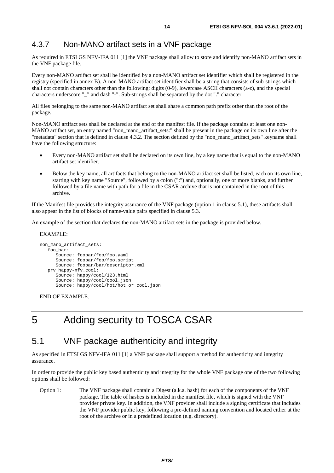### <span id="page-13-0"></span>4.3.7 Non-MANO artifact sets in a VNF package

As required in ETSI GS NFV-IFA 011 [[1\]](#page-5-0) the VNF package shall allow to store and identify non-MANO artifact sets in the VNF package file.

Every non-MANO artifact set shall be identified by a non-MANO artifact set identifier which shall be registered in the registry (specified in annex B). A non-MANO artifact set identifier shall be a string that consists of sub-strings which shall not contain characters other than the following: digits (0-9), lowercase ASCII characters (a-z), and the special characters underscore "\_" and dash "-". Sub-strings shall be separated by the dot "." character.

All files belonging to the same non-MANO artifact set shall share a common path prefix other than the root of the package.

Non-MANO artifact sets shall be declared at the end of the manifest file. If the package contains at least one non-MANO artifact set, an entry named "non\_mano\_artifact\_sets:" shall be present in the package on its own line after the "metadata" section that is defined in clause 4.3.2. The section defined by the "non\_mano\_artifact\_sets" keyname shall have the following structure:

- Every non-MANO artifact set shall be declared on its own line, by a key name that is equal to the non-MANO artifact set identifier.
- Below the key name, all artifacts that belong to the non-MANO artifact set shall be listed, each on its own line, starting with key name "Source", followed by a colon (":") and, optionally, one or more blanks, and further followed by a file name with path for a file in the CSAR archive that is not contained in the root of this archive.

If the Manifest file provides the integrity assurance of the VNF package (option 1 in clause 5.1), these artifacts shall also appear in the list of blocks of name-value pairs specified in clause 5.3.

An example of the section that declares the non-MANO artifact sets in the package is provided below.

#### EXAMPLE:

```
non_mano_artifact_sets: 
    foo_bar: 
       Source: foobar/foo/foo.yaml 
       Source: foobar/foo/foo.script 
       Source: foobar/bar/descriptor.xml 
    prv.happy-nfv.cool: 
       Source: happy/cool/123.html 
       Source: happy/cool/cool.json 
       Source: happy/cool/hot/hot_or_cool.json
```
END OF EXAMPLE.

# 5 Adding security to TOSCA CSAR

### 5.1 VNF package authenticity and integrity

As specified in ETSI GS NFV-IFA 011 [[1\]](#page-5-0) a VNF package shall support a method for authenticity and integrity assurance.

In order to provide the public key based authenticity and integrity for the whole VNF package one of the two following options shall be followed:

Option 1: The VNF package shall contain a Digest (a.k.a. hash) for each of the components of the VNF package. The table of hashes is included in the manifest file, which is signed with the VNF provider private key. In addition, the VNF provider shall include a signing certificate that includes the VNF provider public key, following a pre-defined naming convention and located either at the root of the archive or in a predefined location (e.g. directory).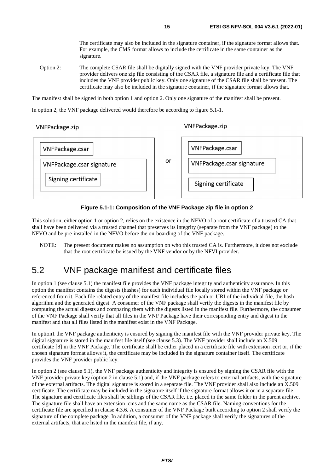The certificate may also be included in the signature container, if the signature format allows that. For example, the CMS format allows to include the certificate in the same container as the signature.

<span id="page-14-0"></span>Option 2: The complete CSAR file shall be digitally signed with the VNF provider private key. The VNF provider delivers one zip file consisting of the CSAR file, a signature file and a certificate file that includes the VNF provider public key. Only one signature of the CSAR file shall be present. The certificate may also be included in the signature container, if the signature format allows that.

The manifest shall be signed in both option 1 and option 2. Only one signature of the manifest shall be present.

In option 2, the VNF package delivered would therefore be according to figure 5.1-1.

VNFPackage.zip

#### VNFPackage.zip



#### **Figure 5.1-1: Composition of the VNF Package zip file in option 2**

This solution, either option 1 or option 2, relies on the existence in the NFVO of a root certificate of a trusted CA that shall have been delivered via a trusted channel that preserves its integrity (separate from the VNF package) to the NFVO and be pre-installed in the NFVO before the on-boarding of the VNF package.

NOTE: The present document makes no assumption on who this trusted CA is. Furthermore, it does not exclude that the root certificate be issued by the VNF vendor or by the NFVI provider.

### 5.2 VNF package manifest and certificate files

In option 1 (see clause 5.1) the manifest file provides the VNF package integrity and authenticity assurance. In this option the manifest contains the digests (hashes) for each individual file locally stored within the VNF package or referenced from it. Each file related entry of the manifest file includes the path or URI of the individual file, the hash algorithm and the generated digest. A consumer of the VNF package shall verify the digests in the manifest file by computing the actual digests and comparing them with the digests listed in the manifest file. Furthermore, the consumer of the VNF Package shall verify that all files in the VNF Package have their corresponding entry and digest in the manifest and that all files listed in the manifest exist in the VNF Package.

In option1 the VNF package authenticity is ensured by signing the manifest file with the VNF provider private key. The digital signature is stored in the manifest file itself (see clause 5.3). The VNF provider shall include an X.509 certificate [\[8\]](#page-5-0) in the VNF Package. The certificate shall be either placed in a certificate file with extension .cert or, if the chosen signature format allows it, the certificate may be included in the signature container itself. The certificate provides the VNF provider public key.

In option 2 (see clause 5.1), the VNF package authenticity and integrity is ensured by signing the CSAR file with the VNF provider private key (option 2 in clause 5.1) and, if the VNF package refers to external artifacts, with the signature of the external artifacts. The digital signature is stored in a separate file. The VNF provider shall also include an X.509 certificate. The certificate may be included in the signature itself if the signature format allows it or in a separate file. The signature and certificate files shall be siblings of the CSAR file, i.e. placed in the same folder in the parent archive. The signature file shall have an extension .cms and the same name as the CSAR file. Naming conventions for the certificate file are specified in clause 4.3.6. A consumer of the VNF Package built according to option 2 shall verify the signature of the complete package. In addition, a consumer of the VNF package shall verify the signatures of the external artifacts, that are listed in the manifest file, if any.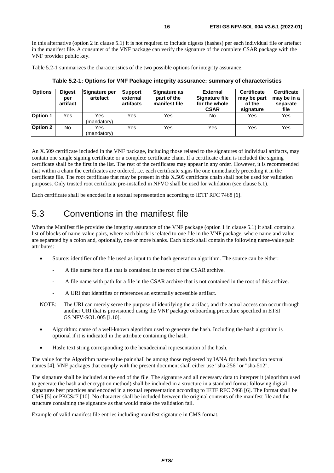<span id="page-15-0"></span>In this alternative (option 2 in clause 5.1) it is not required to include digests (hashes) per each individual file or artefact in the manifest file. A consumer of the VNF package can verify the signature of the complete CSAR package with the VNF provider public key.

Table 5.2-1 summarizes the characteristics of the two possible options for integrity assurance.

| <b>Options</b>  | <b>Digest</b><br>per<br>artifact | Signature per<br>artefact | <b>Support</b><br>external<br>artifacts | Signature as<br>part of the<br>manifest file | <b>External</b><br>Signature file<br>for the whole<br><b>CSAR</b> | <b>Certificate</b><br>may be part<br>of the<br>signature | <b>Certificate</b><br>∣may be in a<br>separate<br>file |
|-----------------|----------------------------------|---------------------------|-----------------------------------------|----------------------------------------------|-------------------------------------------------------------------|----------------------------------------------------------|--------------------------------------------------------|
| <b>Option 1</b> | Yes                              | Yes<br>(mandatory)        | Yes                                     | Yes                                          | No                                                                | Yes                                                      | Yes                                                    |
| Option 2        | No.                              | Yes<br>(mandatory)        | Yes                                     | Yes                                          | Yes                                                               | Yes                                                      | Yes                                                    |

**Table 5.2-1: Options for VNF Package integrity assurance: summary of characteristics** 

An X.509 certificate included in the VNF package, including those related to the signatures of individual artifacts, may contain one single signing certificate or a complete certificate chain. If a certificate chain is included the signing certificate shall be the first in the list. The rest of the certificates may appear in any order. However, it is recommended that within a chain the certificates are ordered, i.e. each certificate signs the one immediately preceding it in the certificate file. The root certificate that may be present in this X.509 certificate chain shall not be used for validation purposes. Only trusted root certificate pre-installed in NFVO shall be used for validation (see clause 5.1).

Each certificate shall be encoded in a textual representation according to IETF RFC 7468 [[6\]](#page-5-0).

### 5.3 Conventions in the manifest file

When the Manifest file provides the integrity assurance of the VNF package (option 1 in clause 5.1) it shall contain a list of blocks of name-value pairs, where each block is related to one file in the VNF package, where name and value are separated by a colon and, optionally, one or more blanks. Each block shall contain the following name-value pair attributes:

- Source: identifier of the file used as input to the hash generation algorithm. The source can be either:
	- A file name for a file that is contained in the root of the CSAR archive.
	- A file name with path for a file in the CSAR archive that is not contained in the root of this archive.
	- A URI that identifies or references an externally accessible artifact.
- NOTE: The URI can merely serve the purpose of identifying the artifact, and the actual access can occur through another URI that is provisioned using the VNF package onboarding procedure specified in ETSI GS NFV-SOL 005 [\[i.10\]](#page-6-0).
- Algorithm: name of a well-known algorithm used to generate the hash. Including the hash algorithm is optional if it is indicated in the attribute containing the hash.
- Hash: text string corresponding to the hexadecimal representation of the hash.

The value for the Algorithm name-value pair shall be among those registered by IANA for hash function textual names [[4\]](#page-5-0). VNF packages that comply with the present document shall either use "sha-256" or "sha-512".

The signature shall be included at the end of the file. The signature and all necessary data to interpret it (algorithm used to generate the hash and encryption method) shall be included in a structure in a standard format following digital signatures best practices and encoded in a textual representation according to IETF RFC 7468 [\[6](#page-5-0)]. The format shall be CMS [[5\]](#page-5-0) or PKCS#7 [[10\]](#page-5-0). No character shall be included between the original contents of the manifest file and the structure containing the signature as that would make the validation fail.

Example of valid manifest file entries including manifest signature in CMS format.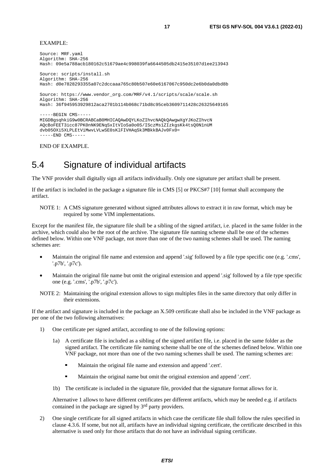#### <span id="page-16-0"></span>EXAMPLE:

Source: MRF.yaml Algorithm: SHA-256 Hash: 09e5a788acb180162c51679ae4c998039fa6644505db2415e35107d1ee213943 Source: scripts/install.sh Algorithm: SHA-256 Hash: d0e7828293355a07c2dccaaa765c80b507e60e6167067c950dc2e6b0da0dbd8b Source: https://www.vendor\_org.com/MRF/v4.1/scripts/scale/scale.sh Algorithm: SHA-256 Hash: 36f945953929812aca2701b114b068c71bd8c95ceb3609711428c26325649165 -----BEGIN CMS----- MIGDBgsqhkiG9w0BCRABCaB0MHICAQAwDQYLKoZIhvcNAQkQAwgwXgYJKoZIhvcN AQcBoFEET3icc87PK0nNK9ENqSxItVIoSa0o0S/ISczMs1ZIzkgsKk4tsQ0N1nUM dvb05OXi5XLPLEtViMwvLVLwSE0sKlFIVHAqSk3MBkkBAJv0Fx0=  $---FND$   $CMS---$ 

END OF EXAMPLE.

### 5.4 Signature of individual artifacts

The VNF provider shall digitally sign all artifacts individually. Only one signature per artifact shall be present.

If the artifact is included in the package a signature file in CMS [[5\]](#page-5-0) or PKCS#7 [\[10\]](#page-5-0) format shall accompany the artifact.

NOTE 1: A CMS signature generated without signed attributes allows to extract it in raw format, which may be required by some VIM implementations.

Except for the manifest file, the signature file shall be a sibling of the signed artifact, i.e. placed in the same folder in the archive, which could also be the root of the archive. The signature file naming scheme shall be one of the schemes defined below. Within one VNF package, not more than one of the two naming schemes shall be used. The naming schemes are:

- Maintain the original file name and extension and append '.sig' followed by a file type specific one (e.g. '.cms', '.p7b', '.p7c').
- Maintain the original file name but omit the original extension and append '.sig' followed by a file type specific one (e.g. '.cms', '.p7b', '.p7c').
- NOTE 2: Maintaining the original extension allows to sign multiples files in the same directory that only differ in their extensions.

If the artifact and signature is included in the package an X.509 certificate shall also be included in the VNF package as per one of the two following alternatives:

- 1) One certificate per signed artifact, according to one of the following options:
	- 1a) A certificate file is included as a sibling of the signed artifact file, i.e. placed in the same folder as the signed artifact. The certificate file naming scheme shall be one of the schemes defined below. Within one VNF package, not more than one of the two naming schemes shall be used. The naming schemes are:
		- Maintain the original file name and extension and append '.cert'.
		- Maintain the original name but omit the original extension and append '.cert'.
	- 1b) The certificate is included in the signature file, provided that the signature format allows for it.

 Alternative 1 allows to have different certificates per different artifacts, which may be needed e.g. if artifacts contained in the package are signed by 3rd party providers.

2) One single certificate for all signed artifacts in which case the certificate file shall follow the rules specified in clause 4.3.6. If some, but not all, artifacts have an individual signing certificate, the certificate described in this alternative is used only for those artifacts that do not have an individual signing certificate.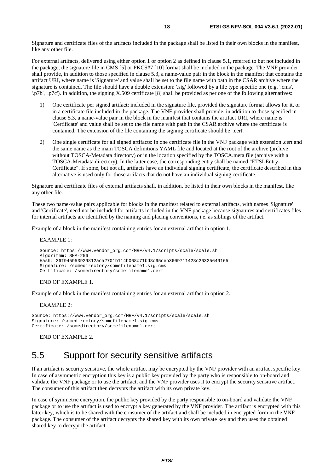<span id="page-17-0"></span>Signature and certificate files of the artifacts included in the package shall be listed in their own blocks in the manifest, like any other file.

For external artifacts, delivered using either option 1 or option 2 as defined in clause 5.1, referred to but not included in the package, the signature file in CMS [\[5](#page-5-0)] or PKCS#7 [[10](#page-5-0)] format shall be included in the package. The VNF provider shall provide, in addition to those specified in clause 5.3, a name-value pair in the block in the manifest that contains the artifact URI, where name is 'Signature' and value shall be set to the file name with path in the CSAR archive where the signature is contained. The file should have a double extension: '.sig' followed by a file type specific one (e.g. '.cms', '.p7b', '.p7c'). In addition, the signing X.509 certificate [[8\]](#page-5-0) shall be provided as per one of the following alternatives:

- 1) One certificate per signed artifact: included in the signature file, provided the signature format allows for it, or in a certificate file included in the package. The VNF provider shall provide, in addition to those specified in clause 5.3, a name-value pair in the block in the manifest that contains the artifact URI, where name is 'Certificate' and value shall be set to the file name with path in the CSAR archive where the certificate is contained. The extension of the file containing the signing certificate should be '.cert'.
- 2) One single certificate for all signed artifacts: in one certificate file in the VNF package with extension .cert and the same name as the main TOSCA definitions YAML file and located at the root of the archive (archive without TOSCA-Metadata directory) or in the location specified by the TOSCA.meta file (archive with a TOSCA-Metadata directory). In the latter case, the corresponding entry shall be named "ETSI-Entry-Certificate". If some, but not all, artifacts have an individual signing certificate, the certificate described in this alternative is used only for those artifacts that do not have an individual signing certificate.

Signature and certificate files of external artifacts shall, in addition, be listed in their own blocks in the manifest, like any other file.

These two name-value pairs applicable for blocks in the manifest related to external artifacts, with names 'Signature' and 'Certificate', need not be included for artifacts included in the VNF package because signatures and certificates files for internal artifacts are identified by the naming and placing conventions, i.e. as siblings of the artifact.

Example of a block in the manifest containing entries for an external artifact in option 1.

#### EXAMPLE 1:

```
Source: https://www.vendor_org.com/MRF/v4.1/scripts/scale/scale.sh 
Algorithm: SHA-256 
Hash: 36f945953929812aca2701b114b068c71bd8c95ceb3609711428c26325649165 
Signature: /somedirectory/somefilename1.sig.cms 
Certificate: /somedirectory/somefilename1.cert
```
#### END OF EXAMPLE 1.

Example of a block in the manifest containing entries for an external artifact in option 2.

#### EXAMPLE 2:

Source: https://www.vendor\_org.com/MRF/v4.1/scripts/scale/scale.sh Signature: /somedirectory/somefilename1.sig.cms Certificate: /somedirectory/somefilename1.cert

END OF EXAMPLE 2.

### 5.5 Support for security sensitive artifacts

If an artifact is security sensitive, the whole artifact may be encrypted by the VNF provider with an artifact specific key. In case of asymmetric encryption this key is a public key provided by the party who is responsible to on-board and validate the VNF package or to use the artifact, and the VNF provider uses it to encrypt the security sensitive artifact. The consumer of this artifact then decrypts the artifact with its own private key.

In case of symmetric encryption, the public key provided by the party responsible to on-board and validate the VNF package or to use the artifact is used to encrypt a key generated by the VNF provider. The artifact is encrypted with this latter key, which is to be shared with the consumer of the artifact and shall be included in encrypted form in the VNF package. The consumer of the artifact decrypts the shared key with its own private key and then uses the obtained shared key to decrypt the artifact.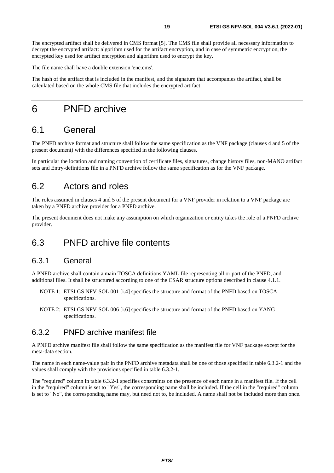<span id="page-18-0"></span>The encrypted artifact shall be delivered in CMS format [[5\]](#page-5-0). The CMS file shall provide all necessary information to decrypt the encrypted artifact: algorithm used for the artifact encryption, and in case of symmetric encryption, the encrypted key used for artifact encryption and algorithm used to encrypt the key.

The file name shall have a double extension 'enc.cms'.

The hash of the artifact that is included in the manifest, and the signature that accompanies the artifact, shall be calculated based on the whole CMS file that includes the encrypted artifact.

### 6 PNFD archive

### 6.1 General

The PNFD archive format and structure shall follow the same specification as the VNF package (clauses 4 and 5 of the present document) with the differences specified in the following clauses.

In particular the location and naming convention of certificate files, signatures, change history files, non-MANO artifact sets and Entry-definitions file in a PNFD archive follow the same specification as for the VNF package.

### 6.2 Actors and roles

The roles assumed in clauses 4 and 5 of the present document for a VNF provider in relation to a VNF package are taken by a PNFD archive provider for a PNFD archive.

The present document does not make any assumption on which organization or entity takes the role of a PNFD archive provider.

### 6.3 PNFD archive file contents

#### 6.3.1 General

A PNFD archive shall contain a main TOSCA definitions YAML file representing all or part of the PNFD, and additional files. It shall be structured according to one of the CSAR structure options described in clause 4.1.1.

- NOTE 1: ETSI GS NFV-SOL 001 [[i.4](#page-6-0)] specifies the structure and format of the PNFD based on TOSCA specifications.
- NOTE 2: ETSI GS NFV-SOL 006 [[i.6](#page-6-0)] specifies the structure and format of the PNFD based on YANG specifications.

### 6.3.2 PNFD archive manifest file

A PNFD archive manifest file shall follow the same specification as the manifest file for VNF package except for the meta-data section.

The name in each name-value pair in the PNFD archive metadata shall be one of those specified in table 6.3.2-1 and the values shall comply with the provisions specified in table 6.3.2-1.

The "required" column in table 6.3.2-1 specifies constraints on the presence of each name in a manifest file. If the cell in the "required" column is set to "Yes", the corresponding name shall be included. If the cell in the "required" column is set to "No", the corresponding name may, but need not to, be included. A name shall not be included more than once.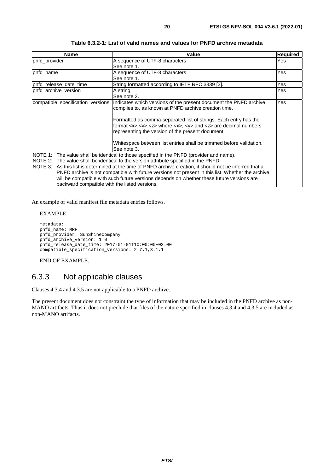<span id="page-19-0"></span>

| Name                                          | Value                                                                                                                                                  | <b>Required</b> |
|-----------------------------------------------|--------------------------------------------------------------------------------------------------------------------------------------------------------|-----------------|
| pnfd_provider                                 | A sequence of UTF-8 characters                                                                                                                         | Yes             |
|                                               | See note 1.                                                                                                                                            |                 |
| pnfd_name                                     | A sequence of UTF-8 characters                                                                                                                         | Yes             |
|                                               | See note 1.                                                                                                                                            |                 |
| pnfd release date time                        | String formatted according to IETF RFC 3339 [3].                                                                                                       | Yes             |
| pnfd_archive_version                          | A string                                                                                                                                               | Yes             |
|                                               | See note 2.                                                                                                                                            |                 |
| compatible_specification_versions             | Indicates which versions of the present document the PNFD archive                                                                                      | Yes             |
|                                               | complies to, as known at PNFD archive creation time.                                                                                                   |                 |
|                                               |                                                                                                                                                        |                 |
|                                               | Formatted as comma-separated list of strings. Each entry has the                                                                                       |                 |
|                                               | format $\langle x \rangle \langle y \rangle \langle z \rangle$ where $\langle x \rangle \langle y \rangle$ and $\langle z \rangle$ are decimal numbers |                 |
|                                               | representing the version of the present document.                                                                                                      |                 |
|                                               |                                                                                                                                                        |                 |
|                                               | Whitespace between list entries shall be trimmed before validation.                                                                                    |                 |
|                                               | See note 3.                                                                                                                                            |                 |
|                                               | NOTE 1: The value shall be identical to those specified in the PNFD (provider and name).                                                               |                 |
|                                               | NOTE 2: The value shall be identical to the version attribute specified in the PNFD.                                                                   |                 |
|                                               | NOTE 3: As this list is determined at the time of PNFD archive creation, it should not be inferred that a                                              |                 |
|                                               | PNFD archive is not compatible with future versions not present in this list. Whether the archive                                                      |                 |
|                                               | will be compatible with such future versions depends on whether these future versions are                                                              |                 |
| backward compatible with the listed versions. |                                                                                                                                                        |                 |

**Table 6.3.2-1: List of valid names and values for PNFD archive metadata** 

An example of valid manifest file metadata entries follows.

EXAMPLE:

```
metadata: 
pnfd_name: MRF 
pnfd_provider: SunShineCompany 
pnfd_archive_version: 1.0 
pnfd_release_date_time: 2017-01-01T10:00:00+03:00 
compatible_specification_versions: 2.7.1,3.1.1
```
END OF EXAMPLE.

### 6.3.3 Not applicable clauses

Clauses 4.3.4 and 4.3.5 are not applicable to a PNFD archive.

The present document does not constraint the type of information that may be included in the PNFD archive as non-MANO artifacts. Thus it does not preclude that files of the nature specified in clauses 4.3.4 and 4.3.5 are included as non-MANO artifacts.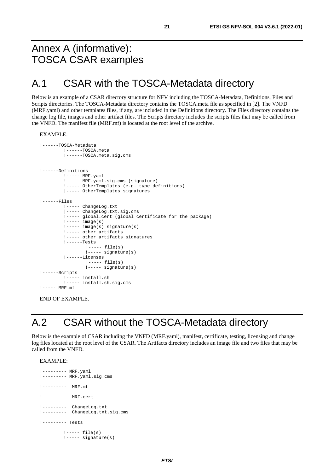# <span id="page-20-0"></span>Annex A (informative): TOSCA CSAR examples

### A.1 CSAR with the TOSCA-Metadata directory

Below is an example of a CSAR directory structure for NFV including the TOSCA-Metadata, Definitions, Files and Scripts directories. The TOSCA-Metadata directory contains the TOSCA.meta file as specified in [\[2](#page-5-0)]. The VNFD (MRF.yaml) and other templates files, if any, are included in the Definitions directory. The Files directory contains the change log file, images and other artifact files. The Scripts directory includes the scripts files that may be called from the VNFD. The manifest file (MRF.mf) is located at the root level of the archive.

EXAMPLE:

```
!------TOSCA-Metadata 
         !------TOSCA.meta 
         !------TOSCA.meta.sig.cms 
!------Definitions 
         !----- MRF.yaml 
         !----- MRF.yaml.sig.cms (signature)
         !----- OtherTemplates (e.g. type definitions) 
         |----- OtherTemplates signatures 
!------Files 
        !----- ChangeLog.txt 
         |----- ChangeLog.txt.sig.cms 
         !----- global.cert (global certificate for the package) 
         !----- image(s) 
         !----- image(s) signature(s) 
         !----- other artifacts 
         !----- other artifacts signatures 
         !------Tests 
                  !----- file(s) 
                  !----- signature(s) 
         !------Licenses 
                  !----- file(s) 
                  !----- signature(s) 
!------Scripts 
        !----- install.sh 
         .<br>!----- install.sh.sig.cms
!--- MRF.mf
```
END OF EXAMPLE.

# A.2 CSAR without the TOSCA-Metadata directory

Below is the example of CSAR including the VNFD (MRF.yaml), manifest, certificate, testing, licensing and change log files located at the root level of the CSAR. The Artifacts directory includes an image file and two files that may be called from the VNFD.

EXAMPLE:

```
!--------- MRF.yaml 
!--------- MRF.yaml.sig.cms 
1------ MRF mf
!--------- MRF.cert 
!--------- ChangeLog.txt 
!--------- ChangeLog.txt.sig.cms 
!--------- Tests 
        !----- file(s) 
        !----- signature(s)
```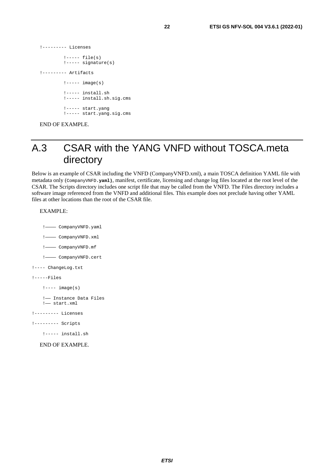```
!----- file(s) 
         !----- signature(s) 
!--------- Artifacts
```
<span id="page-21-0"></span>!--------- Licenses

```
! ----- image(s)
!----- install.sh 
!----- install.sh.sig.cms 
!----- start.yang 
!----- start.yang.sig.cms
```
END OF EXAMPLE.

# A.3 CSAR with the YANG VNFD without TOSCA.meta directory

Below is an example of CSAR including the VNFD (CompanyVNFD.xml), a main TOSCA definition YAML file with metadata only (CompanyVNFD**.yaml)**, manifest, certificate, licensing and change log files located at the root level of the CSAR. The Scripts directory includes one script file that may be called from the VNFD. The Files directory includes a software image referenced from the VNFD and additional files. This example does not preclude having other YAML files at other locations than the root of the CSAR file.

#### EXAMPLE:

- !———— CompanyVNFD.yaml
- !———— CompanyVNFD.xml
- !———— CompanyVNFD.mf
- !———— CompanyVNFD.cert
- !---- ChangeLog.txt

```
!-----Files
```

```
!--- image(s)
```

```
 !—— Instance Data Files 
 !—— start.xml
```
- !--------- Licenses
- !--------- Scripts
	- !----- install.sh
	- END OF EXAMPLE.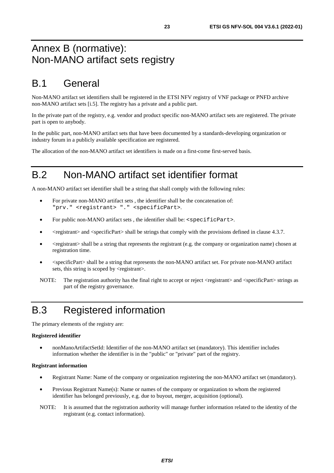# <span id="page-22-0"></span>Annex B (normative): Non-MANO artifact sets registry

# B.1 General

Non-MANO artifact set identifiers shall be registered in the ETSI NFV registry of VNF package or PNFD archive non-MANO artifact sets [\[i.5\]](#page-6-0). The registry has a private and a public part.

In the private part of the registry, e.g. vendor and product specific non-MANO artifact sets are registered. The private part is open to anybody.

In the public part, non-MANO artifact sets that have been documented by a standards-developing organization or industry forum in a publicly available specification are registered.

The allocation of the non-MANO artifact set identifiers is made on a first-come first-served basis.

# B.2 Non-MANO artifact set identifier format

A non-MANO artifact set identifier shall be a string that shall comply with the following rules:

- For private non-MANO artifact sets , the identifier shall be the concatenation of: "prv." <registrant> "." <specificPart>.
- For public non-MANO artifact sets, the identifier shall be: <specificPart>.
- <registrant> and <specificPart> shall be strings that comply with the provisions defined in clause 4.3.7.
- $\leq$  <registrant> shall be a string that represents the registrant (e.g. the company or organization name) chosen at registration time.
- <specificPart> shall be a string that represents the non-MANO artifact set. For private non-MANO artifact sets, this string is scoped by <registrant>.

# B.3 Registered information

The primary elements of the registry are:

#### **Registered identifier**

• nonManoArtifactSetId: Identifier of the non-MANO artifact set (mandatory). This identifier includes information whether the identifier is in the "public" or "private" part of the registry.

#### **Registrant information**

- Registrant Name: Name of the company or organization registering the non-MANO artifact set (mandatory).
- Previous Registrant Name(s): Name or names of the company or organization to whom the registered identifier has belonged previously, e.g. due to buyout, merger, acquisition (optional).
- NOTE: It is assumed that the registration authority will manage further information related to the identity of the registrant (e.g. contact information).

NOTE: The registration authority has the final right to accept or reject <registrant> and <specificPart> strings as part of the registry governance.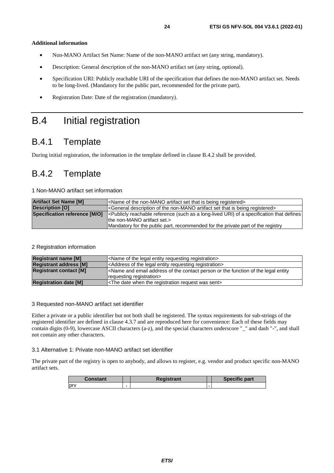#### <span id="page-23-0"></span>**Additional information**

- Non-MANO Artifact Set Name: Name of the non-MANO artifact set (any string, mandatory).
- Description: General description of the non-MANO artifact set (any string, optional).
- Specification URI: Publicly reachable URI of the specification that defines the non-MANO artifact set. Needs to be long-lived. (Mandatory for the public part, recommended for the private part).
- Registration Date: Date of the registration (mandatory).

# B.4 Initial registration

### B.4.1 Template

During initial registration, the information in the template defined in clause B.4.2 shall be provided.

### B.4.2 Template

1 Non-MANO artifact set information

| <b>Artifact Set Name [M]</b>  | <name artifact="" being="" is="" non-mano="" of="" registered="" set="" that="" the=""></name>                                  |
|-------------------------------|---------------------------------------------------------------------------------------------------------------------------------|
| <b>Description [O]</b>        | <general artifact="" being="" description="" is="" non-mano="" of="" registered="" set="" that="" the=""></general>             |
| Specification reference [M/O] | - e-located URI of a specification that defines I c-Publicly reaches (such as a long-lived URI) of a specification that defines |
|                               | lthe non-MANO artifact set.>                                                                                                    |
|                               | Mandatory for the public part, recommended for the private part of the registry                                                 |

#### 2 Registration information

| <b>Registrant name [M]</b>    | <name entity="" legal="" of="" registration="" requesting="" the=""></name>                                                                   |
|-------------------------------|-----------------------------------------------------------------------------------------------------------------------------------------------|
| <b>Registrant address [M]</b> | <address entity="" legal="" of="" registration="" requesting="" the=""></address>                                                             |
| <b>Registrant contact [M]</b> | <name address="" and="" contact="" email="" entity<br="" function="" legal="" of="" or="" person="" the="">requesting registration&gt;</name> |
| <b>Registration date [M]</b>  | <the date="" registration="" request="" sent="" the="" was="" when=""></the>                                                                  |

#### 3 Requested non-MANO artifact set identifier

Either a private or a public identifier but not both shall be registered. The syntax requirements for sub-strings of the registered identifier are defined in clause 4.3.7 and are reproduced here for convenience: Each of these fields may contain digits (0-9), lowercase ASCII characters (a-z), and the special characters underscore "\_" and dash "-", and shall not contain any other characters.

#### 3.1 Alternative 1: Private non-MANO artifact set identifier

The private part of the registry is open to anybody, and allows to register, e.g. vendor and product specific non-MANO artifact sets.

| Constant    | Registrant | <b>Specific part</b> |
|-------------|------------|----------------------|
| <b>Iprv</b> |            |                      |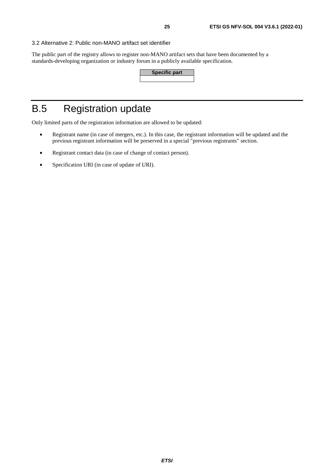<span id="page-24-0"></span>3.2 Alternative 2: Public non-MANO artifact set identifier

The public part of the registry allows to register non-MANO artifact sets that have been documented by a standards-developing organization or industry forum in a publicly available specification.

| Specific part |  |
|---------------|--|
|               |  |

# B.5 Registration update

Only limited parts of the registration information are allowed to be updated:

- Registrant name (in case of mergers, etc.). In this case, the registrant information will be updated and the previous registrant information will be preserved in a special "previous registrants" section.
- Registrant contact data (in case of change of contact person).
- Specification URI (in case of update of URI).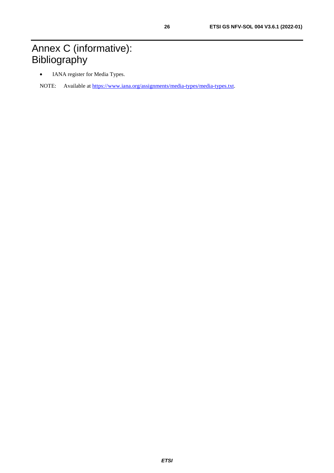# <span id="page-25-0"></span>Annex C (informative): **Bibliography**

• IANA register for Media Types.

NOTE: Available at [https://www.iana.org/assignments/media-types/media-types.txt.](https://www.iana.org/assignments/media-types/media-types.txt)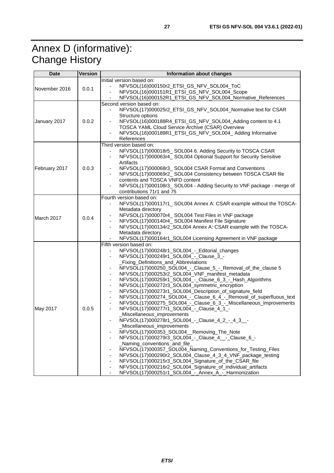# <span id="page-26-0"></span>Annex D (informative): Change History

| <b>Date</b>   | <b>Version</b> | <b>Information about changes</b>                                                                                                                                                                                                                                                                                                                                                                                                                                                                                                                                                                                                                                                                                                                                                                                                                                                                                                                                                                                                                                                                                                                                                                                                                                                                                                                                                                          |  |
|---------------|----------------|-----------------------------------------------------------------------------------------------------------------------------------------------------------------------------------------------------------------------------------------------------------------------------------------------------------------------------------------------------------------------------------------------------------------------------------------------------------------------------------------------------------------------------------------------------------------------------------------------------------------------------------------------------------------------------------------------------------------------------------------------------------------------------------------------------------------------------------------------------------------------------------------------------------------------------------------------------------------------------------------------------------------------------------------------------------------------------------------------------------------------------------------------------------------------------------------------------------------------------------------------------------------------------------------------------------------------------------------------------------------------------------------------------------|--|
| November 2016 | 0.0.1          | Initial version based on:<br>NFVSOL(16)000150r2_ETSI_GS_NFV_SOL004_ToC<br>NFVSOL(16)000151R1_ETSI_GS_NFV_SOL004_Scope<br>$\qquad \qquad \blacksquare$<br>NFVSOL(16)000152R1_ETSI_GS_NFV_SOL004_Normative_References                                                                                                                                                                                                                                                                                                                                                                                                                                                                                                                                                                                                                                                                                                                                                                                                                                                                                                                                                                                                                                                                                                                                                                                       |  |
| January 2017  | 0.0.2          | Second version based on:<br>NFVSOL(17)000025r2_ETSI_GS_NFV_SOL004_Normative text for CSAR<br>Structure options<br>NFVSOL(16)000188R4_ETSI_GS_NFV_SOL004_Adding content to 4.1<br>TOSCA YAML Cloud Service Archive (CSAR) Overview<br>NFVSOL(16)000189R1_ETSI_GS_NFV_SOL004_ Adding Informative<br>References                                                                                                                                                                                                                                                                                                                                                                                                                                                                                                                                                                                                                                                                                                                                                                                                                                                                                                                                                                                                                                                                                              |  |
| February 2017 | 0.0.3          | Third version based on:<br>NFVSOL(17)000018r5_SOL004 6. Adding Security to TOSCA CSAR<br>NFVSOL(17)000063r4_SOL004 Optional Support for Security Sensitive<br>$\overline{\phantom{0}}$<br>Artifacts<br>NFVSOL(17)000068r3_SOL004 CSAR Format and Conventions<br>NFVSOL(17)000069r2_SOL004 Consistency between TOSCA CSAR file<br>contents and TOSCA VNFD content<br>NFVSOL(17)000108r3_SOL004 - Adding Security to VNF package - merge of<br>contributions 71r1 and 75                                                                                                                                                                                                                                                                                                                                                                                                                                                                                                                                                                                                                                                                                                                                                                                                                                                                                                                                    |  |
| March 2017    | 0.0.4          | Fourth version based on:<br>NFVSOL(17)000117r1_SOL004 Annex A: CSAR example without the TOSCA-<br>$\overline{\phantom{a}}$<br>Metadata directory<br>NFVSOL(17)000070r4_SOL004 Test Files in VNF package<br>NFVSOL(17)000140r4_SOL004 Manifest File Signature<br>NFVSOL(17)000134r2_SOL004 Annex A: CSAR example with the TOSCA-<br>$\blacksquare$<br>Metadata directory<br>NFVSOL(17)000164r1_SOL004 Licensing Agreement in VNF package                                                                                                                                                                                                                                                                                                                                                                                                                                                                                                                                                                                                                                                                                                                                                                                                                                                                                                                                                                   |  |
| May 2017      | 0.0.5          | Fifth version based on:<br>NFVSOL(17)000248r1_SOL004_-_Editorial_changes<br>$\frac{1}{2}$<br>NFVSOL(17)000249r1_SOL004_-_Clause_3_-<br>$\qquad \qquad \blacksquare$<br>Fixing_Definitions_and_Abbreviations<br>NFVSOL(17)000250_SOL004_-_Clause_5_-_Removal_of_the_clause 5<br>٠<br>NFVSOL(17)000253r2_SOL004_VNF_manifest_metadata<br>$\qquad \qquad \blacksquare$<br>NFVSOL(17)000259r1_SOL004_-_Clause_6_3_-_Hash_Algorithms<br>$\qquad \qquad \blacksquare$<br>NFVSOL(17)000272r3_SOL004_symmetric_encryption<br>$\qquad \qquad \blacksquare$<br>NFVSOL(17)000273r1_SOL004_Description_of_signature_field<br>$\qquad \qquad \blacksquare$<br>NFVSOL(17)000274_SOL004_-_Clause_6_4_-_Removal_of_superfluous_text<br>٠<br>NFVSOL(17)000275_SOL004_-_Clause_6_3_-_Miscellaneous_improvements<br>NFVSOL(17)000277r1_SOL004_-_Clause_4_1_-<br>_Miscellaneous_improvements<br>NFVSOL(17)000278r1_SOL004_-_Clause_4_2_-_4_3__-<br>Miscellaneous_improvements<br>NFVSOL(17)000353_SOL004_Removing_The_Note<br>NFVSOL(17)000279r3_SOL004_-_Clause_4__-_Clause_6_-<br>_Naming_conventions_and_file_<br>NFVSOL(17)000357_SOL004_Naming_Conventions_for_Testing_Files<br>NFVSOL(17)000290r2_SOL004_Clause_4_3_4_VNF_package_testing<br>NFVSOL(17)000215r3_SOL004_Signature_of_the_CSAR_file<br>NFVSOL(17)000216r2_SOL004_Signature_of_individual_artifacts<br>NFVSOL(17)000251r1_SOL004_-_Annex_A_-_Harmonization |  |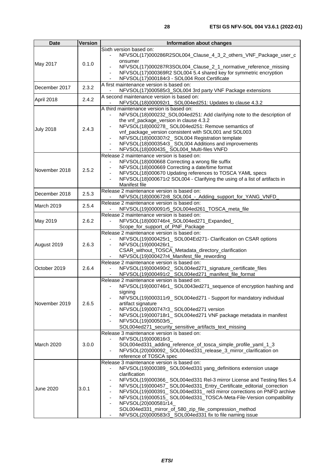| <b>Date</b>      | <b>Version</b> | Information about changes                                                                                                                                                                                                                                                                                                                                                                                                                                                                                                                                                          |  |
|------------------|----------------|------------------------------------------------------------------------------------------------------------------------------------------------------------------------------------------------------------------------------------------------------------------------------------------------------------------------------------------------------------------------------------------------------------------------------------------------------------------------------------------------------------------------------------------------------------------------------------|--|
| May 2017         | 0.1.0          | Sixth version based on:<br>NFVSOL(17)000286R2SOL004_Clause_4_3_2_others_VNF_Package_user_c<br>onsumer<br>NFVSOL(17)000287R3SOL004_Clause_2_1_normative_reference_missing<br>NFVSOL(17)000369R2 SOL004 5.4 shared key for symmetric encryption<br>÷,<br>NFVSOL(17)000184r3 - SOL004 Root Certificate<br>$\overline{\phantom{0}}$                                                                                                                                                                                                                                                    |  |
| December 2017    | 2.3.2          | A first maintenance version is based on:<br>NFVSOL(17)000585r3_SOL004 3rd party VNF Package extensions                                                                                                                                                                                                                                                                                                                                                                                                                                                                             |  |
| April 2018       | 2.4.2          | A second maintenance version is based on:<br>NFVSOL(18)000092r1_SOL004ed251: Updates to clause 4.3.2                                                                                                                                                                                                                                                                                                                                                                                                                                                                               |  |
| <b>July 2018</b> | 2.4.3          | A third maintenance version is based on:<br>NFVSOL(18)000232_SOL004ed251: Add clarifying note to the description of<br>the vnf_package_version in clause 4.3.2<br>NFVSOL(18)000278_SOL004ed251: Remove semantics of<br>vnf_package_version consistent with SOL001 and SOL003<br>NFVSOL(18)000307r2_SOL004 Registration template<br>-<br>NFVSOL(18)000354r3_SOL004 Additions and improvements<br>NFVSOL(18)000435_SOL004_Multi-files VNFD                                                                                                                                           |  |
| November 2018    | 2.5.2          | Release 2 maintenance version is based on:<br>NFVSOL(18)000668 Correcting a wrong file suffix<br>NFVSOL(18)000669 Correcting a date/time format<br>NFVSOL(18)000670 Updating references to TOSCA YAML specs<br>$\blacksquare$<br>NFVSOL(18)000671r2 SOL004 - Clarifying the using of a list of artifacts in<br>-<br>Manifest file                                                                                                                                                                                                                                                  |  |
| December 2018    | 2.5.3          | Release 2 maintenance version is based on:<br>NFVSOL(18)000672r8_SOL004_-_Adding_support_for_YANG_VNFD                                                                                                                                                                                                                                                                                                                                                                                                                                                                             |  |
| March 2019       | 2.5.4          | Release 2 maintenance version is based on:<br>NFVSOL(19)000091r5_SOL004ed261_TOSCA_meta_file                                                                                                                                                                                                                                                                                                                                                                                                                                                                                       |  |
| May 2019         | 2.6.2          | Release 2 maintenance version is based on:<br>NFVSOL(18)000746r4_SOL004ed271_Expanded_<br>Scope_for_support_of_PNF_Package                                                                                                                                                                                                                                                                                                                                                                                                                                                         |  |
| August 2019      | 2.6.3          | Release 2 maintenance version is based on:<br>NFVSOL(19)000425r1_SOL004Ed271- Clarification on CSAR options<br>NFVSOL(19)000426r1_<br>$\blacksquare$<br>CSAR_without_TOSCA_Metadata_directory_clarification<br>NFVSOL(19)000427r4_Manifest_file_rewording                                                                                                                                                                                                                                                                                                                          |  |
| October 2019     | 2.6.4          | Release 2 maintenance version is based on:<br>NFVSOL(19)000490r2_SOL004ed271_signature_certificate_files<br>÷,<br>NFVSOL(19)000491r2_SOL004ed271_manifest_file_format<br>$\frac{1}{2}$                                                                                                                                                                                                                                                                                                                                                                                             |  |
| November 2019    | 2.6.5          | Release 2 maintenance version is based on:<br>NFVSOL(19)000746r1_SOL0043ed271_sequence of encryption hashing and<br>signing<br>NFVSOL(19)000311r9_SOL004ed271 - Support for mandatory individual<br>artifact signature<br>NFVSOL(19)000747r3_SOL004ed271 version<br>NFVSOL(19)000718r1_SOL004ed271 VNF package metadata in manifest<br>$\overline{\phantom{a}}$<br>NFVSOL(19)000503r5_<br>$\qquad \qquad \blacksquare$<br>SOL004ed271_security_sensitive_artifacts_text_missing                                                                                                    |  |
| March 2020       | 3.0.0          | Release 3 maintenance version is based on:<br>NFVSOL(19)000816r3_<br>SOL004ed331_adding_reference_of_tosca_simple_profile_yaml_1_3<br>NFVSOL(20)000092_SOL004ed331_release_3_mirror_clarification on<br>reference of TOSCA spec                                                                                                                                                                                                                                                                                                                                                    |  |
| <b>June 2020</b> | 3.0.1          | Release 3 maintenance version is based on:<br>NFVSOL(19)000389_SOL004ed331 yang_definitions extension usage<br>clarification<br>NFVSOL(19)000366_ SOL004ed331 Rel-3 mirror License and Testing files 5.4<br>NFVSOL(19)000457_SOL004ed331_Entry_Certificate_editorial_correction<br>NFVSOL(19)000391_SOL004ed331_rel3 mirror corrections on PNFD archive<br>٠<br>NFVSOL(19)000515_SOL004ed331_TOSCA-Meta-File-Version compatibility<br>٠<br>NFVSOL(20)000581r14<br>SOL004ed331_mirror_of_580_zip_file_compression_method<br>NFVSOL(20)000583r3_SOL004ed331 fix to file naming issue |  |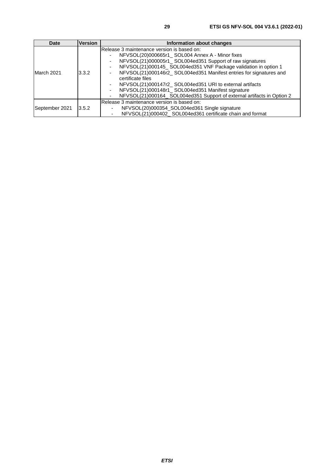| <b>Date</b>    | <b>Version</b> | Information about changes                                                |  |
|----------------|----------------|--------------------------------------------------------------------------|--|
|                | 3.3.2          | Release 3 maintenance version is based on:                               |  |
| March 2021     |                | NFVSOL(20)000665r1 SOL004 Annex A - Minor fixes                          |  |
|                |                | NFVSOL(21)000005r1 SOL004ed351 Support of raw signatures                 |  |
|                |                | NFVSOL(21)000145_SOL004ed351 VNF Package validation in option 1          |  |
|                |                | NFVSOL(21)000146r2 SOL004ed351 Manifest entries for signatures and<br>۰. |  |
|                |                | certificate files                                                        |  |
|                |                | NFVSOL(21)000147r2_SOL004ed351 URI to external artifacts                 |  |
|                |                | NFVSOL(21)000148r1_SOL004ed351 Manifest signature                        |  |
|                |                | NFVSOL(21)000164 SOL004ed351 Support of external artifacts in Option 2   |  |
|                | 3.5.2          | Release 3 maintenance version is based on:                               |  |
| September 2021 |                | NFVSOL(20)000354_SOL004ed361 Single signature                            |  |
|                |                | NFVSOL(21)000402_SOL004ed361 certificate chain and format                |  |